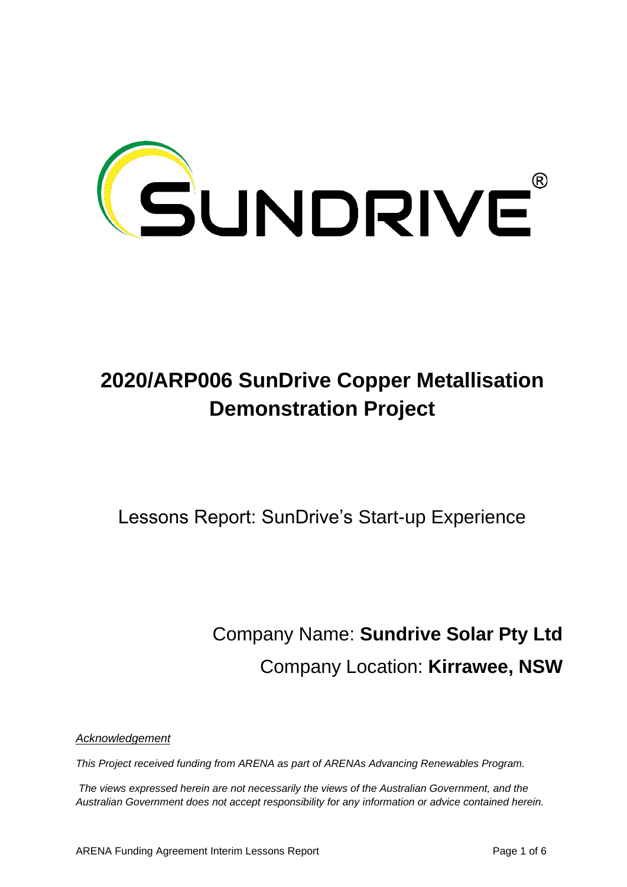

# **2020/ARP006 SunDrive Copper Metallisation Demonstration Project**

Lessons Report: SunDrive's Start-up Experience

Company Name: **Sundrive Solar Pty Ltd** Company Location: **Kirrawee, NSW**

*Acknowledgement*

*This Project received funding from ARENA as part of ARENAs Advancing Renewables Program.* 

*The views expressed herein are not necessarily the views of the Australian Government, and the Australian Government does not accept responsibility for any information or advice contained herein.*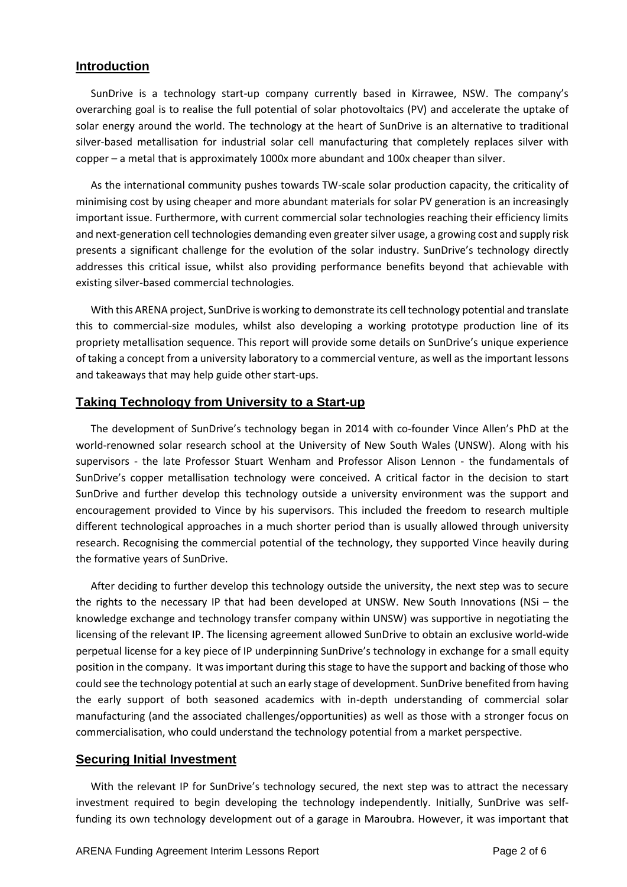## **Introduction**

SunDrive is a technology start-up company currently based in Kirrawee, NSW. The company's overarching goal is to realise the full potential of solar photovoltaics (PV) and accelerate the uptake of solar energy around the world. The technology at the heart of SunDrive is an alternative to traditional silver-based metallisation for industrial solar cell manufacturing that completely replaces silver with copper – a metal that is approximately 1000x more abundant and 100x cheaper than silver.

As the international community pushes towards TW-scale solar production capacity, the criticality of minimising cost by using cheaper and more abundant materials for solar PV generation is an increasingly important issue. Furthermore, with current commercial solar technologies reaching their efficiency limits and next-generation cell technologies demanding even greater silver usage, a growing cost and supply risk presents a significant challenge for the evolution of the solar industry. SunDrive's technology directly addresses this critical issue, whilst also providing performance benefits beyond that achievable with existing silver-based commercial technologies.

With this ARENA project, SunDrive is working to demonstrate its cell technology potential and translate this to commercial-size modules, whilst also developing a working prototype production line of its propriety metallisation sequence. This report will provide some details on SunDrive's unique experience of taking a concept from a university laboratory to a commercial venture, as well as the important lessons and takeaways that may help guide other start-ups.

## **Taking Technology from University to a Start-up**

The development of SunDrive's technology began in 2014 with co-founder Vince Allen's PhD at the world-renowned solar research school at the University of New South Wales (UNSW). Along with his supervisors - the late Professor Stuart Wenham and Professor Alison Lennon - the fundamentals of SunDrive's copper metallisation technology were conceived. A critical factor in the decision to start SunDrive and further develop this technology outside a university environment was the support and encouragement provided to Vince by his supervisors. This included the freedom to research multiple different technological approaches in a much shorter period than is usually allowed through university research. Recognising the commercial potential of the technology, they supported Vince heavily during the formative years of SunDrive.

After deciding to further develop this technology outside the university, the next step was to secure the rights to the necessary IP that had been developed at UNSW. New South Innovations (NSi – the knowledge exchange and technology transfer company within UNSW) was supportive in negotiating the licensing of the relevant IP. The licensing agreement allowed SunDrive to obtain an exclusive world-wide perpetual license for a key piece of IP underpinning SunDrive's technology in exchange for a small equity position in the company. It was important during this stage to have the support and backing of those who could see the technology potential at such an early stage of development. SunDrive benefited from having the early support of both seasoned academics with in-depth understanding of commercial solar manufacturing (and the associated challenges/opportunities) as well as those with a stronger focus on commercialisation, who could understand the technology potential from a market perspective.

#### **Securing Initial Investment**

With the relevant IP for SunDrive's technology secured, the next step was to attract the necessary investment required to begin developing the technology independently. Initially, SunDrive was selffunding its own technology development out of a garage in Maroubra. However, it was important that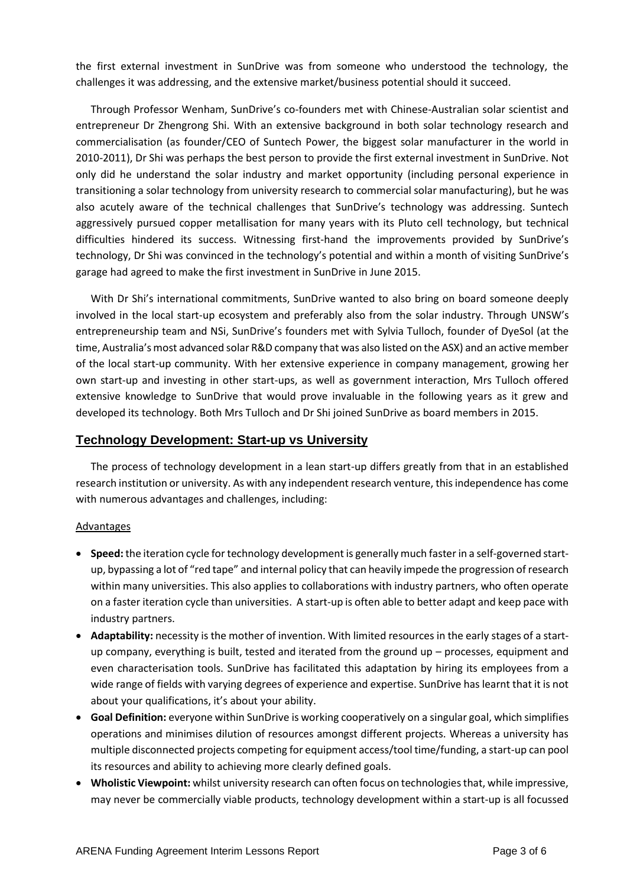the first external investment in SunDrive was from someone who understood the technology, the challenges it was addressing, and the extensive market/business potential should it succeed.

Through Professor Wenham, SunDrive's co-founders met with Chinese-Australian solar scientist and entrepreneur Dr Zhengrong Shi. With an extensive background in both solar technology research and commercialisation (as founder/CEO of Suntech Power, the biggest solar manufacturer in the world in 2010-2011), Dr Shi was perhaps the best person to provide the first external investment in SunDrive. Not only did he understand the solar industry and market opportunity (including personal experience in transitioning a solar technology from university research to commercial solar manufacturing), but he was also acutely aware of the technical challenges that SunDrive's technology was addressing. Suntech aggressively pursued copper metallisation for many years with its Pluto cell technology, but technical difficulties hindered its success. Witnessing first-hand the improvements provided by SunDrive's technology, Dr Shi was convinced in the technology's potential and within a month of visiting SunDrive's garage had agreed to make the first investment in SunDrive in June 2015.

With Dr Shi's international commitments, SunDrive wanted to also bring on board someone deeply involved in the local start-up ecosystem and preferably also from the solar industry. Through UNSW's entrepreneurship team and NSi, SunDrive's founders met with Sylvia Tulloch, founder of DyeSol (at the time, Australia's most advanced solar R&D company that was also listed on the ASX) and an active member of the local start-up community. With her extensive experience in company management, growing her own start-up and investing in other start-ups, as well as government interaction, Mrs Tulloch offered extensive knowledge to SunDrive that would prove invaluable in the following years as it grew and developed its technology. Both Mrs Tulloch and Dr Shi joined SunDrive as board members in 2015.

## **Technology Development: Start-up vs University**

The process of technology development in a lean start-up differs greatly from that in an established research institution or university. As with any independent research venture, this independence has come with numerous advantages and challenges, including:

#### Advantages

- **Speed:** the iteration cycle for technology development is generally much faster in a self-governed startup, bypassing a lot of "red tape" and internal policy that can heavily impede the progression of research within many universities. This also applies to collaborations with industry partners, who often operate on a faster iteration cycle than universities. A start-up is often able to better adapt and keep pace with industry partners.
- **Adaptability:** necessity is the mother of invention. With limited resources in the early stages of a startup company, everything is built, tested and iterated from the ground up – processes, equipment and even characterisation tools. SunDrive has facilitated this adaptation by hiring its employees from a wide range of fields with varying degrees of experience and expertise. SunDrive has learnt that it is not about your qualifications, it's about your ability.
- **Goal Definition:** everyone within SunDrive is working cooperatively on a singular goal, which simplifies operations and minimises dilution of resources amongst different projects. Whereas a university has multiple disconnected projects competing for equipment access/tool time/funding, a start-up can pool its resources and ability to achieving more clearly defined goals.
- **Wholistic Viewpoint:** whilst university research can often focus on technologies that, while impressive, may never be commercially viable products, technology development within a start-up is all focussed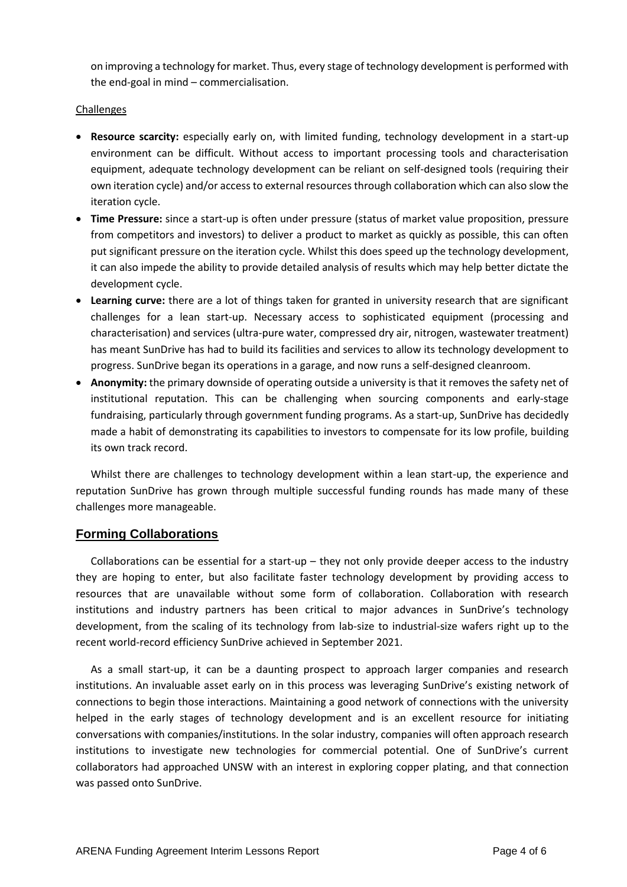on improving a technology for market. Thus, every stage of technology development is performed with the end-goal in mind – commercialisation.

## **Challenges**

- **Resource scarcity:** especially early on, with limited funding, technology development in a start-up environment can be difficult. Without access to important processing tools and characterisation equipment, adequate technology development can be reliant on self-designed tools (requiring their own iteration cycle) and/or access to external resources through collaboration which can also slow the iteration cycle.
- **Time Pressure:** since a start-up is often under pressure (status of market value proposition, pressure from competitors and investors) to deliver a product to market as quickly as possible, this can often put significant pressure on the iteration cycle. Whilst this does speed up the technology development, it can also impede the ability to provide detailed analysis of results which may help better dictate the development cycle.
- **Learning curve:** there are a lot of things taken for granted in university research that are significant challenges for a lean start-up. Necessary access to sophisticated equipment (processing and characterisation) and services (ultra-pure water, compressed dry air, nitrogen, wastewater treatment) has meant SunDrive has had to build its facilities and services to allow its technology development to progress. SunDrive began its operations in a garage, and now runs a self-designed cleanroom.
- **Anonymity:** the primary downside of operating outside a university is that it removes the safety net of institutional reputation. This can be challenging when sourcing components and early-stage fundraising, particularly through government funding programs. As a start-up, SunDrive has decidedly made a habit of demonstrating its capabilities to investors to compensate for its low profile, building its own track record.

Whilst there are challenges to technology development within a lean start-up, the experience and reputation SunDrive has grown through multiple successful funding rounds has made many of these challenges more manageable.

# **Forming Collaborations**

Collaborations can be essential for a start-up  $-$  they not only provide deeper access to the industry they are hoping to enter, but also facilitate faster technology development by providing access to resources that are unavailable without some form of collaboration. Collaboration with research institutions and industry partners has been critical to major advances in SunDrive's technology development, from the scaling of its technology from lab-size to industrial-size wafers right up to the recent world-record efficiency SunDrive achieved in September 2021.

As a small start-up, it can be a daunting prospect to approach larger companies and research institutions. An invaluable asset early on in this process was leveraging SunDrive's existing network of connections to begin those interactions. Maintaining a good network of connections with the university helped in the early stages of technology development and is an excellent resource for initiating conversations with companies/institutions. In the solar industry, companies will often approach research institutions to investigate new technologies for commercial potential. One of SunDrive's current collaborators had approached UNSW with an interest in exploring copper plating, and that connection was passed onto SunDrive.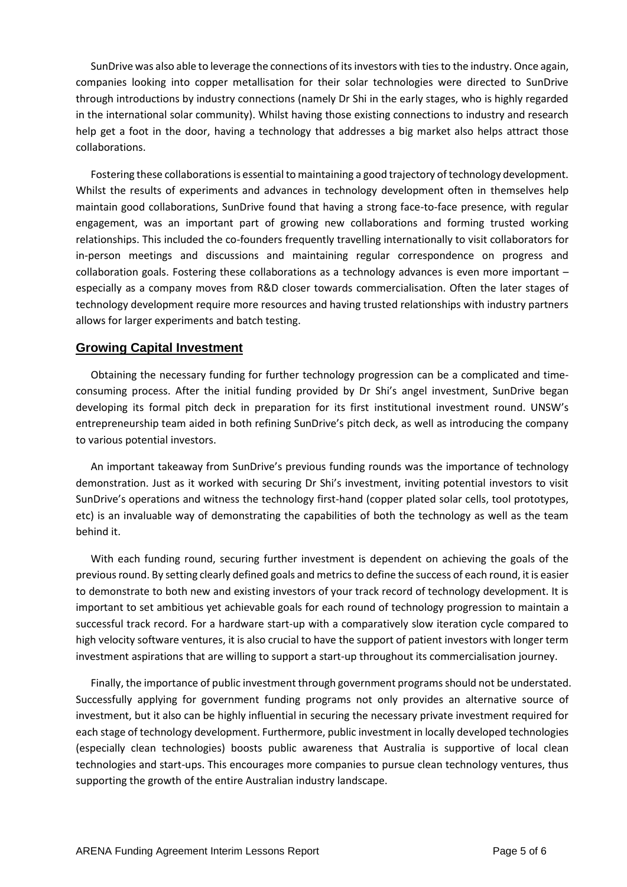SunDrive was also able to leverage the connections of its investors with tiesto the industry. Once again, companies looking into copper metallisation for their solar technologies were directed to SunDrive through introductions by industry connections (namely Dr Shi in the early stages, who is highly regarded in the international solar community). Whilst having those existing connections to industry and research help get a foot in the door, having a technology that addresses a big market also helps attract those collaborations.

Fostering these collaborations is essential to maintaining a good trajectory of technology development. Whilst the results of experiments and advances in technology development often in themselves help maintain good collaborations, SunDrive found that having a strong face-to-face presence, with regular engagement, was an important part of growing new collaborations and forming trusted working relationships. This included the co-founders frequently travelling internationally to visit collaborators for in-person meetings and discussions and maintaining regular correspondence on progress and collaboration goals. Fostering these collaborations as a technology advances is even more important – especially as a company moves from R&D closer towards commercialisation. Often the later stages of technology development require more resources and having trusted relationships with industry partners allows for larger experiments and batch testing.

## **Growing Capital Investment**

Obtaining the necessary funding for further technology progression can be a complicated and timeconsuming process. After the initial funding provided by Dr Shi's angel investment, SunDrive began developing its formal pitch deck in preparation for its first institutional investment round. UNSW's entrepreneurship team aided in both refining SunDrive's pitch deck, as well as introducing the company to various potential investors.

An important takeaway from SunDrive's previous funding rounds was the importance of technology demonstration. Just as it worked with securing Dr Shi's investment, inviting potential investors to visit SunDrive's operations and witness the technology first-hand (copper plated solar cells, tool prototypes, etc) is an invaluable way of demonstrating the capabilities of both the technology as well as the team behind it.

With each funding round, securing further investment is dependent on achieving the goals of the previous round. By setting clearly defined goals and metricsto define the success of each round, it is easier to demonstrate to both new and existing investors of your track record of technology development. It is important to set ambitious yet achievable goals for each round of technology progression to maintain a successful track record. For a hardware start-up with a comparatively slow iteration cycle compared to high velocity software ventures, it is also crucial to have the support of patient investors with longer term investment aspirations that are willing to support a start-up throughout its commercialisation journey.

Finally, the importance of public investment through government programs should not be understated. Successfully applying for government funding programs not only provides an alternative source of investment, but it also can be highly influential in securing the necessary private investment required for each stage of technology development. Furthermore, public investment in locally developed technologies (especially clean technologies) boosts public awareness that Australia is supportive of local clean technologies and start-ups. This encourages more companies to pursue clean technology ventures, thus supporting the growth of the entire Australian industry landscape.